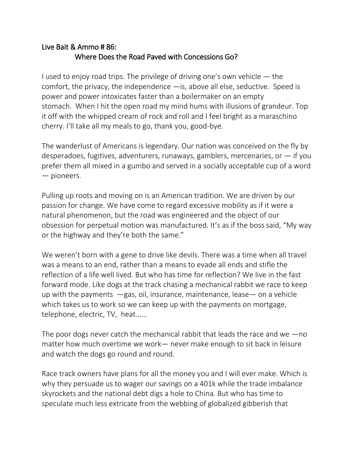## Live Bait & Ammo # 86: Where Does the Road Paved with Concessions Go?

I used to enjoy road trips. The privilege of driving one's own vehicle  $-$  the comfort, the privacy, the independence —is, above all else, seductive. Speed is power and power intoxicates faster than a boilermaker on an empty stomach. When I hit the open road my mind hums with illusions of grandeur. Top it off with the whipped cream of rock and roll and I feel bright as a maraschino cherry. I'll take all my meals to go, thank you, good-bye.

The wanderlust of Americans is legendary. Our nation was conceived on the fly by desperadoes, fugitives, adventurers, runaways, gamblers, mercenaries, or  $-$  if you prefer them all mixed in a gumbo and served in a socially acceptable cup of a word — pioneers.

Pulling up roots and moving on is an American tradition. We are driven by our passion for change. We have come to regard excessive mobility as if it were a natural phenomenon, but the road was engineered and the object of our obsession for perpetual motion was manufactured. It's as if the boss said, "My way or the highway and they're both the same."

We weren't born with a gene to drive like devils. There was a time when all travel was a means to an end, rather than a means to evade all ends and stifle the reflection of a life well lived. But who has time for reflection? We live in the fast forward mode. Like dogs at the track chasing a mechanical rabbit we race to keep up with the payments —gas, oil, insurance, maintenance, lease— on a vehicle which takes us to work so we can keep up with the payments on mortgage, telephone, electric, TV, heat......

The poor dogs never catch the mechanical rabbit that leads the race and we  $-\infty$ matter how much overtime we work— never make enough to sit back in leisure and watch the dogs go round and round.

Race track owners have plans for all the money you and I will ever make. Which is why they persuade us to wager our savings on a 401k while the trade imbalance skyrockets and the national debt digs a hole to China. But who has time to speculate much less extricate from the webbing of globalized gibberish that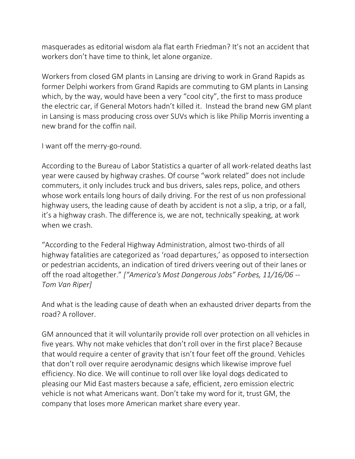masquerades as editorial wisdom ala flat earth Friedman? It's not an accident that workers don't have time to think, let alone organize.

Workers from closed GM plants in Lansing are driving to work in Grand Rapids as former Delphi workers from Grand Rapids are commuting to GM plants in Lansing which, by the way, would have been a very "cool city", the first to mass produce the electric car, if General Motors hadn't killed it. Instead the brand new GM plant in Lansing is mass producing cross over SUVs which is like Philip Morris inventing a new brand for the coffin nail.

I want off the merry-go-round.

According to the Bureau of Labor Statistics a quarter of all work-related deaths last year were caused by highway crashes. Of course "work related" does not include commuters, it only includes truck and bus drivers, sales reps, police, and others whose work entails long hours of daily driving. For the rest of us non professional highway users, the leading cause of death by accident is not a slip, a trip, or a fall, it's a highway crash. The difference is, we are not, technically speaking, at work when we crash.

"According to the Federal Highway Administration, almost two-thirds of all highway fatalities are categorized as 'road departures,' as opposed to intersection or pedestrian accidents, an indication of tired drivers veering out of their lanes or off the road altogether." *["America's Most Dangerous Jobs" Forbes, 11/16/06 -- Tom Van Riper]*

And what is the leading cause of death when an exhausted driver departs from the road? A rollover.

GM announced that it will voluntarily provide roll over protection on all vehicles in five years. Why not make vehicles that don't roll over in the first place? Because that would require a center of gravity that isn't four feet off the ground. Vehicles that don't roll over require aerodynamic designs which likewise improve fuel efficiency. No dice. We will continue to roll over like loyal dogs dedicated to pleasing our Mid East masters because a safe, efficient, zero emission electric vehicle is not what Americans want. Don't take my word for it, trust GM, the company that loses more American market share every year.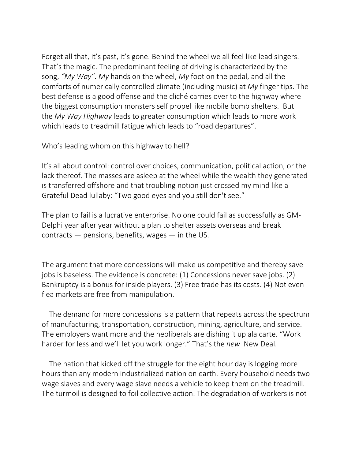Forget all that, it's past, it's gone. Behind the wheel we all feel like lead singers. That's the magic. The predominant feeling of driving is characterized by the song, *"My Way"*. *My* hands on the wheel, *My* foot on the pedal, and all the comforts of numerically controlled climate (including music) at *My* finger tips. The best defense is a good offense and the cliché carries over to the highway where the biggest consumption monsters self propel like mobile bomb shelters. But the *My Way Highway* leads to greater consumption which leads to more work which leads to treadmill fatigue which leads to "road departures".

Who's leading whom on this highway to hell?

It's all about control: control over choices, communication, political action, or the lack thereof. The masses are asleep at the wheel while the wealth they generated is transferred offshore and that troubling notion just crossed my mind like a Grateful Dead lullaby: "Two good eyes and you still don't see."

The plan to fail is a lucrative enterprise. No one could fail as successfully as GM-Delphi year after year without a plan to shelter assets overseas and break contracts  $-$  pensions, benefits, wages  $-$  in the US.

The argument that more concessions will make us competitive and thereby save jobs is baseless. The evidence is concrete: (1) Concessions never save jobs. (2) Bankruptcy is a bonus for inside players. (3) Free trade has its costs. (4) Not even flea markets are free from manipulation.

The demand for more concessions is a pattern that repeats across the spectrum of manufacturing, transportation, construction, mining, agriculture, and service. The employers want more and the neoliberals are dishing it up ala carte. "Work harder for less and we'll let you work longer." That's the *new* New Deal.

The nation that kicked off the struggle for the eight hour day is logging more hours than any modern industrialized nation on earth. Every household needs two wage slaves and every wage slave needs a vehicle to keep them on the treadmill. The turmoil is designed to foil collective action. The degradation of workers is not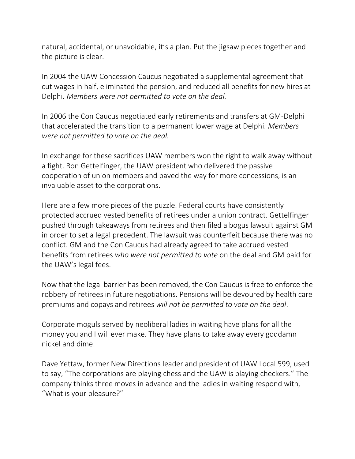natural, accidental, or unavoidable, it's a plan. Put the jigsaw pieces together and the picture is clear.

In 2004 the UAW Concession Caucus negotiated a supplemental agreement that cut wages in half, eliminated the pension, and reduced all benefits for new hires at Delphi. *Members were not permitted to vote on the deal.*

In 2006 the Con Caucus negotiated early retirements and transfers at GM-Delphi that accelerated the transition to a permanent lower wage at Delphi. *Members were not permitted to vote on the deal.*

In exchange for these sacrifices UAW members won the right to walk away without a fight. Ron Gettelfinger, the UAW president who delivered the passive cooperation of union members and paved the way for more concessions, is an invaluable asset to the corporations.

Here are a few more pieces of the puzzle. Federal courts have consistently protected accrued vested benefits of retirees under a union contract. Gettelfinger pushed through takeaways from retirees and then filed a bogus lawsuit against GM in order to set a legal precedent. The lawsuit was counterfeit because there was no conflict. GM and the Con Caucus had already agreed to take accrued vested benefits from retirees *who were not permitted to vote* on the deal and GM paid for the UAW's legal fees.

Now that the legal barrier has been removed, the Con Caucus is free to enforce the robbery of retirees in future negotiations. Pensions will be devoured by health care premiums and copays and retirees *will not be permitted to vote on the deal*.

Corporate moguls served by neoliberal ladies in waiting have plans for all the money you and I will ever make. They have plans to take away every goddamn nickel and dime.

Dave Yettaw, former New Directions leader and president of UAW Local 599, used to say, "The corporations are playing chess and the UAW is playing checkers." The company thinks three moves in advance and the ladies in waiting respond with, "What is your pleasure?"